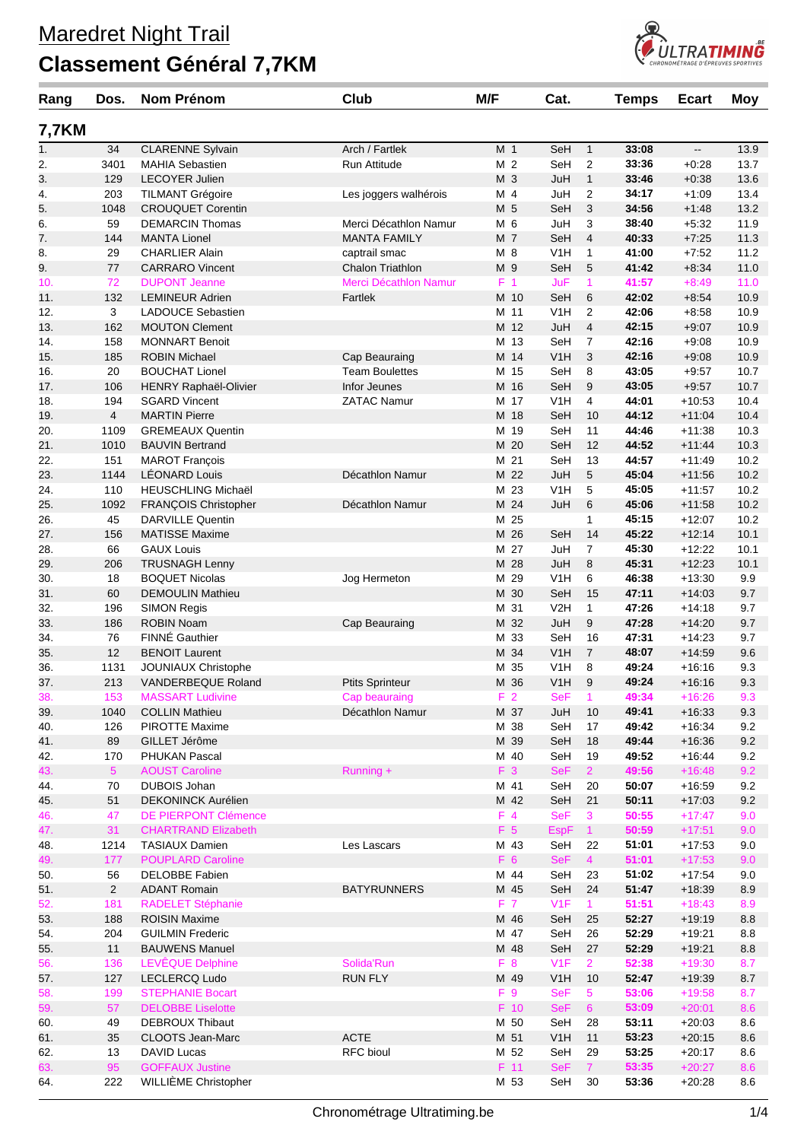## **Classement Général 7,7KM**



| Rang         | Dos.           | <b>Nom Prénom</b>                                | Club                                     | M/F             | Cat.              |                 | <b>Temps</b>   | <b>Ecart</b>             | <b>Moy</b>   |
|--------------|----------------|--------------------------------------------------|------------------------------------------|-----------------|-------------------|-----------------|----------------|--------------------------|--------------|
| <b>7,7KM</b> |                |                                                  |                                          |                 |                   |                 |                |                          |              |
| 1.           | 34             | <b>CLARENNE Sylvain</b>                          | Arch / Fartlek                           | M 1             | SeH               | 1               | 33:08          | $\overline{\phantom{a}}$ | 13.9         |
| 2.           | 3401           | <b>MAHIA Sebastien</b>                           | Run Attitude                             | M <sub>2</sub>  | SeH               | 2               | 33:36          | $+0:28$                  | 13.7         |
| 3.           | 129            | <b>LECOYER Julien</b>                            |                                          | M 3             | JuH               | $\mathbf{1}$    | 33:46          | $+0.38$                  | 13.6         |
| 4.           | 203            | <b>TILMANT Grégoire</b>                          | Les joggers walhérois                    | M 4             | JuH               | 2               | 34:17          | $+1:09$                  | 13.4         |
| 5.           | 1048           | <b>CROUQUET Corentin</b>                         |                                          | M 5             | SeH               | 3               | 34:56          | $+1:48$                  | 13.2         |
| 6.           | 59             | <b>DEMARCIN Thomas</b>                           | Merci Décathlon Namur                    | M 6             | JuH               | 3               | 38:40          | $+5:32$                  | 11.9         |
| 7.           | 144            | <b>MANTA Lionel</b>                              | <b>MANTA FAMILY</b>                      | M 7             | SeH               | 4               | 40:33          | $+7:25$                  | 11.3         |
| 8.<br>9.     | 29<br>77       | <b>CHARLIER Alain</b><br><b>CARRARO Vincent</b>  | captrail smac<br><b>Chalon Triathlon</b> | M 8<br>M 9      | V1H<br>SeH        | 1<br>5          | 41:00<br>41:42 | $+7.52$<br>$+8:34$       | 11.2<br>11.0 |
| 10.          | 72             | <b>DUPONT Jeanne</b>                             | Merci Décathlon Namur                    | F <sub>1</sub>  | JuF               | $\mathbf{1}$    | 41:57          | $+8:49$                  | 11.0         |
| 11.          | 132            | <b>LEMINEUR Adrien</b>                           | Fartlek                                  | M 10            | SeH               | 6               | 42:02          | $+8.54$                  | 10.9         |
| 12.          | 3              | <b>LADOUCE Sebastien</b>                         |                                          | M 11            | V <sub>1</sub> H  | 2               | 42:06          | $+8.58$                  | 10.9         |
| 13.          | 162            | <b>MOUTON Clement</b>                            |                                          | M 12            | JuH               | 4               | 42:15          | $+9:07$                  | 10.9         |
| 14.          | 158            | <b>MONNART Benoit</b>                            |                                          | M 13            | SeH               | 7               | 42:16          | $+9:08$                  | 10.9         |
| 15.          | 185            | <b>ROBIN Michael</b>                             | Cap Beauraing                            | M 14            | V1H               | 3               | 42:16          | $+9:08$                  | 10.9         |
| 16.          | 20             | <b>BOUCHAT Lionel</b>                            | <b>Team Boulettes</b>                    | M 15            | SeH               | 8               | 43:05          | $+9.57$                  | 10.7         |
| 17.          | 106            | <b>HENRY Raphaël-Olivier</b>                     | Infor Jeunes                             | M 16            | SeH               | 9               | 43:05          | $+9.57$                  | 10.7         |
| 18.          | 194            | <b>SGARD Vincent</b>                             | <b>ZATAC Namur</b>                       | M 17            | V1H               | 4               | 44:01          | $+10.53$                 | 10.4         |
| 19.          | $\overline{4}$ | <b>MARTIN Pierre</b>                             |                                          | M 18            | SeH               | 10              | 44:12          | $+11:04$                 | 10.4         |
| 20.          | 1109           | <b>GREMEAUX Quentin</b>                          |                                          | M 19            | SeH               | 11              | 44:46          | $+11:38$                 | 10.3         |
| 21.          | 1010           | <b>BAUVIN Bertrand</b>                           |                                          | M 20            | SeH               | 12              | 44:52          | $+11:44$                 | 10.3         |
| 22.          | 151            | <b>MAROT François</b>                            |                                          | M 21            | SeH               | 13              | 44:57          | $+11:49$                 | 10.2         |
| 23.          | 1144           | <b>LÉONARD Louis</b>                             | Décathlon Namur                          | M 22            | JuH               | 5               | 45:04          | $+11:56$                 | 10.2         |
| 24.          | 110            | HEUSCHLING Michaël                               |                                          | M 23            | V1H               | 5               | 45:05          | $+11:57$                 | 10.2         |
| 25.          | 1092           | FRANÇOIS Christopher                             | Décathlon Namur                          | M 24            | JuH               | 6               | 45:06          | $+11:58$                 | 10.2         |
| 26.          | 45             | <b>DARVILLE Quentin</b>                          |                                          | 25<br>М<br>M 26 |                   | 1               | 45:15          | $+12:07$<br>$+12:14$     | 10.2         |
| 27.          | 156<br>66      | <b>MATISSE Maxime</b><br><b>GAUX Louis</b>       |                                          | M 27            | SeH<br>JuH        | 14<br>7         | 45:22<br>45:30 | $+12:22$                 | 10.1<br>10.1 |
| 28.<br>29.   | 206            | <b>TRUSNAGH Lenny</b>                            |                                          | M 28            | JuH               | 8               | 45:31          | $+12:23$                 | 10.1         |
| 30.          | 18             | <b>BOQUET Nicolas</b>                            | Jog Hermeton                             | M 29            | V1H               | 6               | 46:38          | $+13:30$                 | 9.9          |
| 31.          | 60             | <b>DEMOULIN Mathieu</b>                          |                                          | 30<br>Μ         | SeH               | 15              | 47:11          | $+14:03$                 | 9.7          |
| 32.          | 196            | <b>SIMON Regis</b>                               |                                          | M 31            | V <sub>2</sub> H  | 1               | 47:26          | $+14.18$                 | 9.7          |
| 33.          | 186            | <b>ROBIN Noam</b>                                | Cap Beauraing                            | M 32            | JuH               | 9               | 47:28          | $+14.20$                 | 9.7          |
| 34.          | 76             | <b>FINNÉ Gauthier</b>                            |                                          | M 33            | SeH               | 16              | 47:31          | $+14.23$                 | 9.7          |
| 35.          | 12             | <b>BENOIT Laurent</b>                            |                                          | M 34            | V1H               | $\overline{7}$  | 48:07          | $+14.59$                 | 9.6          |
| 36.          | 1131           | JOUNIAUX Christophe                              |                                          | 35<br>М         | V1H               | 8               | 49:24          | $+16:16$                 | 9.3          |
| 37.          | 213            | VANDERBEQUE Roland                               | <b>Ptits Sprinteur</b>                   | M 36            | V1H               | 9               | 49:24          | $+16:16$                 | 9.3          |
| 38.          | 153            | <b>MASSART Ludivine</b>                          | Cap beauraing                            | F <sub>2</sub>  | <b>SeF</b>        |                 | 49:34          | $+16:26$                 | 9.3          |
| 39.          | 1040           | <b>COLLIN Mathieu</b>                            | Décathlon Namur                          | M 37            | JuH               | 10              | 49:41          | $+16:33$                 | 9.3          |
| 40.          | 126            | PIROTTE Maxime                                   |                                          | M 38            | SeH               | 17              | 49:42          | $+16.34$                 | 9.2          |
| 41.          | 89             | GILLET Jérôme                                    |                                          | M 39            | SeH               | 18              | 49:44          | $+16.36$                 | 9.2          |
| 42.          | 170            | PHUKAN Pascal                                    |                                          | M 40            | SeH               | 19              | 49:52          | $+16.44$                 | 9.2          |
| 43.          | 5 <sup>5</sup> | <b>AOUST Caroline</b>                            | Running +                                | F 3             | <b>SeF</b>        | $\overline{2}$  | 49:56          | $+16:48$                 | 9.2          |
| 44.          | 70             | <b>DUBOIS Johan</b><br><b>DEKONINCK Aurélien</b> |                                          | M 41            | SeH               | 20              | 50:07          | $+16.59$                 | 9.2          |
| 45.          | 51<br>47       | <b>DE PIERPONT Clémence</b>                      |                                          | M 42<br>$F$ 4   | SeH<br><b>SeF</b> | 21              | 50:11<br>50:55 | $+17:03$<br>$+17:47$     | 9.2<br>9.0   |
| 46.<br>47.   | 31             | <b>CHARTRAND Elizabeth</b>                       |                                          | F 5             | <b>EspF</b>       | 3<br>$\vert$ 1  | 50:59          | $+17:51$                 | 9.0          |
| 48.          | 1214           | <b>TASIAUX Damien</b>                            | Les Lascars                              | M 43            | SeH               | 22              | 51:01          | $+17:53$                 | 9.0          |
| 49.          | 177            | <b>POUPLARD Caroline</b>                         |                                          | F 6             | <b>SeF</b>        | $\overline{4}$  | 51:01          | $+17:53$                 | 9.0          |
| 50.          | 56             | <b>DELOBBE Fabien</b>                            |                                          | M 44            | SeH               | 23              | 51:02          | $+17:54$                 | 9.0          |
| 51.          | $\overline{2}$ | <b>ADANT Romain</b>                              | <b>BATYRUNNERS</b>                       | M 45            | SeH               | 24              | 51:47          | $+18.39$                 | 8.9          |
| 52.          | 181            | <b>RADELET Stéphanie</b>                         |                                          | F 7             | V1F               | $\mathbf{1}$    | 51:51          | $+18:43$                 | 8.9          |
| 53.          | 188            | <b>ROISIN Maxime</b>                             |                                          | M 46            | SeH               | 25              | 52:27          | $+19.19$                 | 8.8          |
| 54.          | 204            | <b>GUILMIN Frederic</b>                          |                                          | M 47            | SeH               | 26              | 52:29          | $+19.21$                 | 8.8          |
| 55.          | 11             | <b>BAUWENS Manuel</b>                            |                                          | M 48            | SeH               | 27              | 52:29          | $+19.21$                 | 8.8          |
| 56.          | 136            | LEVÊQUE Delphine                                 | Solida'Run                               | F <sub>8</sub>  | V <sub>1</sub> F  | $\mathbf{2}$    | 52:38          | $+19:30$                 | 8.7          |
| 57.          | 127            | LECLERCQ Ludo                                    | <b>RUN FLY</b>                           | M 49            | V <sub>1</sub> H  | 10              | 52:47          | $+19.39$                 | 8.7          |
| 58.          | 199            | <b>STEPHANIE Bocart</b>                          |                                          | F 9             | <b>SeF</b>        | 5 <sup>5</sup>  | 53:06          | $+19:58$                 | 8.7          |
| 59.          | 57             | <b>DELOBBE Liselotte</b>                         |                                          | F 10            | <b>SeF</b>        | $6\overline{6}$ | 53:09          | $+20:01$                 | 8.6          |
| 60.          | 49             | <b>DEBROUX Thibaut</b>                           |                                          | M 50            | SeH               | 28              | 53:11          | $+20:03$                 | 8.6          |
| 61.          | 35             | CLOOTS Jean-Marc                                 | <b>ACTE</b>                              | M 51            | V1H               | 11              | 53:23          | $+20:15$                 | 8.6          |
| 62.          | 13             | DAVID Lucas                                      | RFC bioul                                | M 52            | SeH               | 29              | 53:25          | $+20:17$                 | 8.6          |
| 63.          | 95             | <b>GOFFAUX Justine</b>                           |                                          | $F$ 11          | <b>SeF</b>        | 7 <sup>1</sup>  | 53:35          | $+20:27$                 | 8.6          |
| 64.          | 222            | WILLIÈME Christopher                             |                                          | M 53            | SeH               | 30              | 53:36          | $+20.28$                 | 8.6          |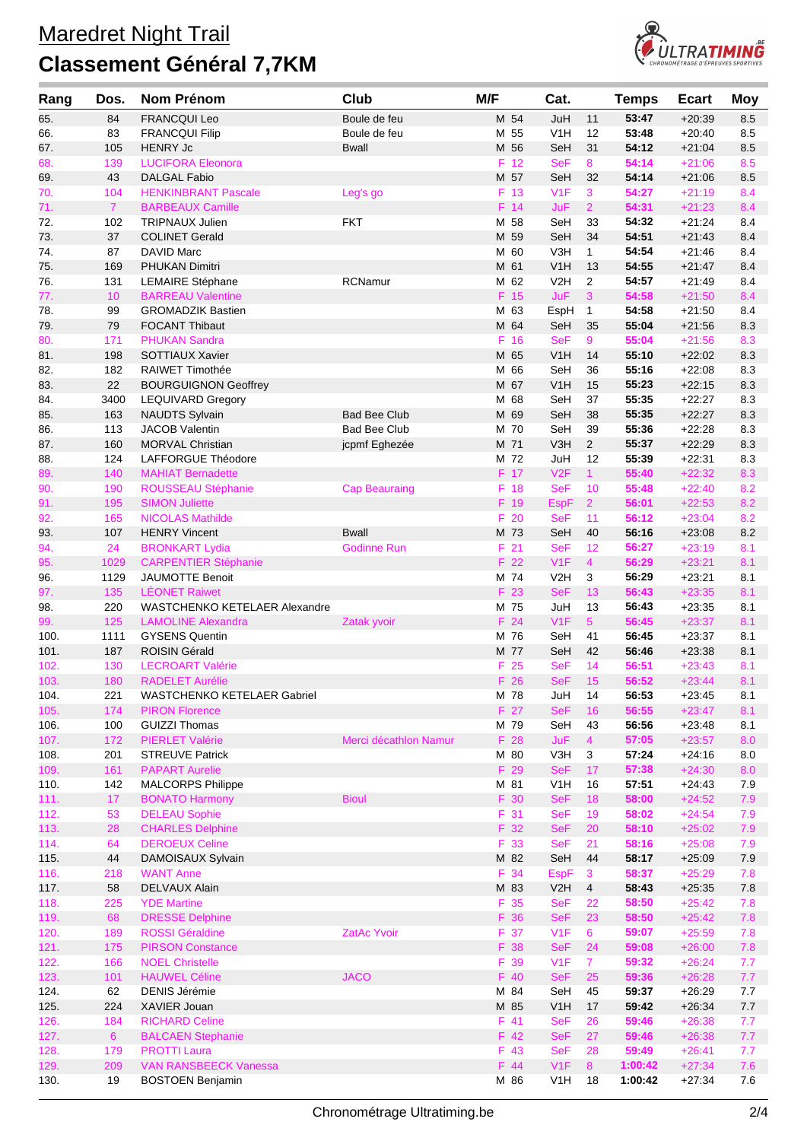

| Rang         | Dos.           | Nom Prénom                                          | Club                                 | M/F |              | Cat.                     |                      | <b>Temps</b>     | <b>Ecart</b>         | <b>Moy</b> |
|--------------|----------------|-----------------------------------------------------|--------------------------------------|-----|--------------|--------------------------|----------------------|------------------|----------------------|------------|
| 65.          | 84             | <b>FRANCQUI Leo</b>                                 | Boule de feu                         |     | M 54         | JuH                      | 11                   | 53:47            | $+20:39$             | 8.5        |
| 66.          | 83             | <b>FRANCQUI Filip</b>                               | Boule de feu                         |     | M 55         | V1H                      | 12                   | 53:48            | $+20:40$             | 8.5        |
| 67.          | 105            | <b>HENRY Jc</b>                                     | <b>Bwall</b>                         | M   | 56           | SeH                      | 31                   | 54:12            | $+21:04$             | 8.5        |
| 68.          | 139            | <b>LUCIFORA Eleonora</b>                            |                                      | F   | 12           | <b>SeF</b>               | 8                    | 54:14            | $+21:06$             | 8.5        |
| 69.          | 43             | <b>DALGAL Fabio</b>                                 |                                      |     | M 57         | SeH                      | 32                   | 54:14            | $+21:06$             | 8.5        |
| 70.          | 104            | <b>HENKINBRANT Pascale</b>                          | Leg's go                             |     | F 13         | V1F                      | 3                    | 54:27            | $+21:19$             | 8.4        |
| 71.          | $\mathbf{7}$   | <b>BARBEAUX Camille</b>                             |                                      |     | F 14         | <b>JuF</b>               | $\overline{2}$       | 54:31<br>54:32   | $+21:23$             | 8.4        |
| 72.<br>73.   | 102<br>37      | <b>TRIPNAUX Julien</b><br><b>COLINET Gerald</b>     | <b>FKT</b>                           |     | M 58<br>M 59 | SeH<br>SeH               | 33<br>34             | 54:51            | $+21:24$<br>$+21:43$ | 8.4<br>8.4 |
| 74.          | 87             | <b>DAVID Marc</b>                                   |                                      |     | M 60         | V3H                      | $\mathbf{1}$         | 54:54            | $+21:46$             | 8.4        |
| 75.          | 169            | PHUKAN Dimitri                                      |                                      |     | M 61         | V1H                      | 13                   | 54:55            | $+21:47$             | 8.4        |
| 76.          | 131            | <b>LEMAIRE Stéphane</b>                             | <b>RCNamur</b>                       |     | M 62         | V <sub>2</sub> H         | 2                    | 54:57            | $+21:49$             | 8.4        |
| 77.          | 10             | <b>BARREAU Valentine</b>                            |                                      |     | F 15         | <b>JuF</b>               | 3                    | 54:58            | $+21:50$             | 8.4        |
| 78.          | 99             | <b>GROMADZIK Bastien</b>                            |                                      | М   | 63           | EspH                     | $\mathbf{1}$         | 54:58            | $+21:50$             | 8.4        |
| 79.          | 79             | <b>FOCANT Thibaut</b>                               |                                      |     | M 64         | SeH                      | 35                   | 55:04            | $+21:56$             | 8.3        |
| 80.          | 171            | <b>PHUKAN Sandra</b>                                |                                      | F   | 16           | <b>SeF</b>               | 9                    | 55:04            | $+21:56$             | 8.3        |
| 81.          | 198            | SOTTIAUX Xavier                                     |                                      |     | M 65         | V1H                      | 14                   | 55:10            | $+22:02$             | 8.3        |
| 82.          | 182            | RAIWET Timothée                                     |                                      |     | M 66         | SeH                      | 36                   | 55:16            | $+22:08$             | 8.3        |
| 83.          | 22             | <b>BOURGUIGNON Geoffrey</b>                         |                                      |     | M 67         | V1H                      | 15                   | 55:23            | $+22:15$             | 8.3        |
| 84.          | 3400           | <b>LEQUIVARD Gregory</b>                            |                                      |     | M 68         | SeH                      | 37                   | 55:35            | $+22:27$             | 8.3        |
| 85.          | 163            | <b>NAUDTS Sylvain</b>                               | <b>Bad Bee Club</b>                  |     | M 69<br>M 70 | SeH                      | 38                   | 55:35<br>55:36   | $+22:27$             | 8.3        |
| 86.<br>87.   | 113<br>160     | <b>JACOB Valentin</b><br><b>MORVAL Christian</b>    | <b>Bad Bee Club</b><br>jcpmf Eghezée |     | M 71         | SeH<br>V3H               | 39<br>$\overline{2}$ | 55:37            | $+22:28$<br>$+22:29$ | 8.3<br>8.3 |
| 88.          | 124            | LAFFORGUE Théodore                                  |                                      |     | M 72         | JuH                      | 12                   | 55:39            | $+22:31$             | 8.3        |
| 89.          | 140            | <b>MAHIAT Bernadette</b>                            |                                      |     | F 17         | V2F                      | $\mathbf{1}$         | 55:40            | $+22:32$             | 8.3        |
| 90.          | 190            | ROUSSEAU Stéphanie                                  | <b>Cap Beauraing</b>                 |     | F 18         | <b>SeF</b>               | 10                   | 55:48            | $+22:40$             | 8.2        |
| 91.          | 195            | <b>SIMON Juliette</b>                               |                                      |     | F 19         | <b>EspF</b>              | $\overline{2}$       | 56:01            | $+22:53$             | 8.2        |
| 92.          | 165            | <b>NICOLAS Mathilde</b>                             |                                      |     | F 20         | <b>SeF</b>               | 11                   | 56:12            | $+23:04$             | 8.2        |
| 93.          | 107            | <b>HENRY Vincent</b>                                | <b>Bwall</b>                         |     | M 73         | SeH                      | 40                   | 56:16            | $+23:08$             | 8.2        |
| 94.          | 24             | <b>BRONKART Lydia</b>                               | <b>Godinne Run</b>                   |     | F 21         | <b>SeF</b>               | 12                   | 56:27            | $+23:19$             | 8.1        |
| 95.          | 1029           | <b>CARPENTIER Stéphanie</b>                         |                                      |     | F 22         | V1F                      | $\overline{4}$       | 56:29            | $+23:21$             | 8.1        |
| 96.          | 1129           | <b>JAUMOTTE Benoit</b>                              |                                      |     | M 74         | V <sub>2</sub> H         | 3                    | 56:29            | $+23:21$             | 8.1        |
| 97.          | 135            | <b>LÉONET Raiwet</b>                                |                                      |     | F 23         | <b>SeF</b>               | 13                   | 56:43            | $+23:35$             | 8.1        |
| 98.          | 220            | WASTCHENKO KETELAER Alexandre                       |                                      |     | M 75         | JuH                      | 13                   | 56:43            | $+23:35$             | 8.1        |
| 99.          | 125            | <b>LAMOLINE Alexandra</b>                           | Zatak yvoir                          |     | F 24         | V1F                      | 5 <sup>5</sup>       | 56:45            | $+23:37$             | 8.1        |
| 100.         | 1111<br>187    | <b>GYSENS Quentin</b><br><b>ROISIN Gérald</b>       |                                      |     | M 76<br>M 77 | SeH<br>SeH               | 41<br>42             | 56:45<br>56:46   | $+23:37$<br>$+23:38$ | 8.1<br>8.1 |
| 101.<br>102. | 130            | <b>LECROART Valérie</b>                             |                                      |     | F 25         | <b>SeF</b>               | 14                   | 56:51            | $+23:43$             | 8.1        |
| 103.         | 180            | <b>RADELET Aurélie</b>                              |                                      |     | F 26         | <b>SeF</b>               | 15                   | 56:52            | $+23:44$             | 8.1        |
| 104.         | 221            | WASTCHENKO KETELAER Gabriel                         |                                      |     | M 78         | JuH                      | 14                   | 56:53            | $+23:45$             | 8.1        |
| 105.         | 174            | <b>PIRON Florence</b>                               |                                      |     | F 27         | <b>SeF</b>               | 16                   | 56:55            | $+23:47$             | 8.1        |
| 106.         | 100            | <b>GUIZZI Thomas</b>                                |                                      |     | M 79         | SeH                      | 43                   | 56:56            | $+23.48$             | 8.1        |
| 107.         | 172            | <b>PIERLET Valérie</b>                              | Merci décathlon Namur                |     | F 28         | <b>JuF</b>               | $\overline{4}$       | 57:05            | $+23:57$             | 8.0        |
| 108.         | 201            | <b>STREUVE Patrick</b>                              |                                      |     | M 80         | V3H                      | 3                    | 57:24            | $+24:16$             | 8.0        |
| 109.         | 161            | <b>PAPART Aurelie</b>                               |                                      |     | F 29         | <b>SeF</b>               | 17                   | 57:38            | $+24:30$             | 8.0        |
| 110.         | 142            | <b>MALCORPS Philippe</b>                            |                                      |     | M 81         | V <sub>1</sub> H         | 16                   | 57:51            | $+24.43$             | 7.9        |
| 111.         | 17             | <b>BONATO Harmony</b>                               | <b>Bioul</b>                         |     | F 30         | <b>SeF</b>               | 18                   | 58:00            | $+24:52$             | 7.9        |
| 112.         | 53             | <b>DELEAU Sophie</b>                                |                                      |     | F 31         | <b>SeF</b>               | 19                   | 58:02            | $+24:54$             | 7.9        |
| 113.         | 28<br>64       | <b>CHARLES Delphine</b><br><b>DEROEUX Celine</b>    |                                      |     | F 32<br>F 33 | <b>SeF</b><br><b>SeF</b> | 20<br>21             | 58:10<br>58:16   | $+25:02$<br>$+25:08$ | 7.9<br>7.9 |
| 114.<br>115. | 44             | DAMOISAUX Sylvain                                   |                                      |     | M 82         | SeH                      | 44                   | 58:17            | $+25:09$             | 7.9        |
| 116.         | 218            | <b>WANT Anne</b>                                    |                                      |     | F 34         | <b>EspF</b>              | 3                    | 58:37            | $+25:29$             | 7.8        |
| 117.         | 58             | DELVAUX Alain                                       |                                      |     | M 83         | V <sub>2</sub> H         | $\overline{4}$       | 58:43            | $+25:35$             | $7.8$      |
| 118.         | 225            | <b>YDE Martine</b>                                  |                                      |     | F 35         | <b>SeF</b>               | 22                   | 58:50            | $+25:42$             | 7.8        |
| 119.         | 68             | <b>DRESSE Delphine</b>                              |                                      |     | F 36         | <b>SeF</b>               | 23                   | 58:50            | $+25:42$             | $7.8$      |
| 120.         | 189            | <b>ROSSI Géraldine</b>                              | <b>ZatAc Yvoir</b>                   |     | F 37         | V1F                      | 6                    | 59:07            | $+25:59$             | 7.8        |
| 121.         | 175            | <b>PIRSON Constance</b>                             |                                      |     | F 38         | <b>SeF</b>               | 24                   | 59:08            | $+26:00$             | 7.8        |
| 122.         | 166            | <b>NOEL Christelle</b>                              |                                      |     | F 39         | V1F                      | 7 <sup>1</sup>       | 59:32            | $+26:24$             | 7.7        |
| 123.         | 101            | <b>HAUWEL Céline</b>                                | <b>JACO</b>                          |     | F 40         | <b>SeF</b>               | 25                   | 59:36            | $+26:28$             | 7.7        |
| 124.         | 62             | DENIS Jérémie                                       |                                      |     | M 84         | SeH                      | 45                   | 59:37            | $+26.29$             | 7.7        |
| 125.         | 224            | XAVIER Jouan                                        |                                      |     | M 85         | V <sub>1</sub> H         | 17                   | 59:42            | $+26.34$             | $7.7\,$    |
| 126.         | 184            | <b>RICHARD Celine</b>                               |                                      |     | F 41         | <b>SeF</b>               | 26                   | 59:46            | $+26:38$             | 7.7        |
| 127.         | 6 <sup>1</sup> | <b>BALCAEN Stephanie</b>                            |                                      |     | F 42<br>F 43 | <b>SeF</b>               | 27                   | 59:46            | $+26:38$             | 7.7        |
| 128.<br>129. | 179<br>209     | <b>PROTTI Laura</b><br><b>VAN RANSBEECK Vanessa</b> |                                      |     | F 44         | <b>SeF</b><br>V1F        | 28<br>8              | 59:49<br>1:00:42 | $+26:41$<br>$+27:34$ | 7.7<br>7.6 |
| 130.         | 19             | <b>BOSTOEN Benjamin</b>                             |                                      |     | M 86         | V <sub>1</sub> H         | 18                   | 1:00:42          | $+27:34$             | 7.6        |
|              |                |                                                     |                                      |     |              |                          |                      |                  |                      |            |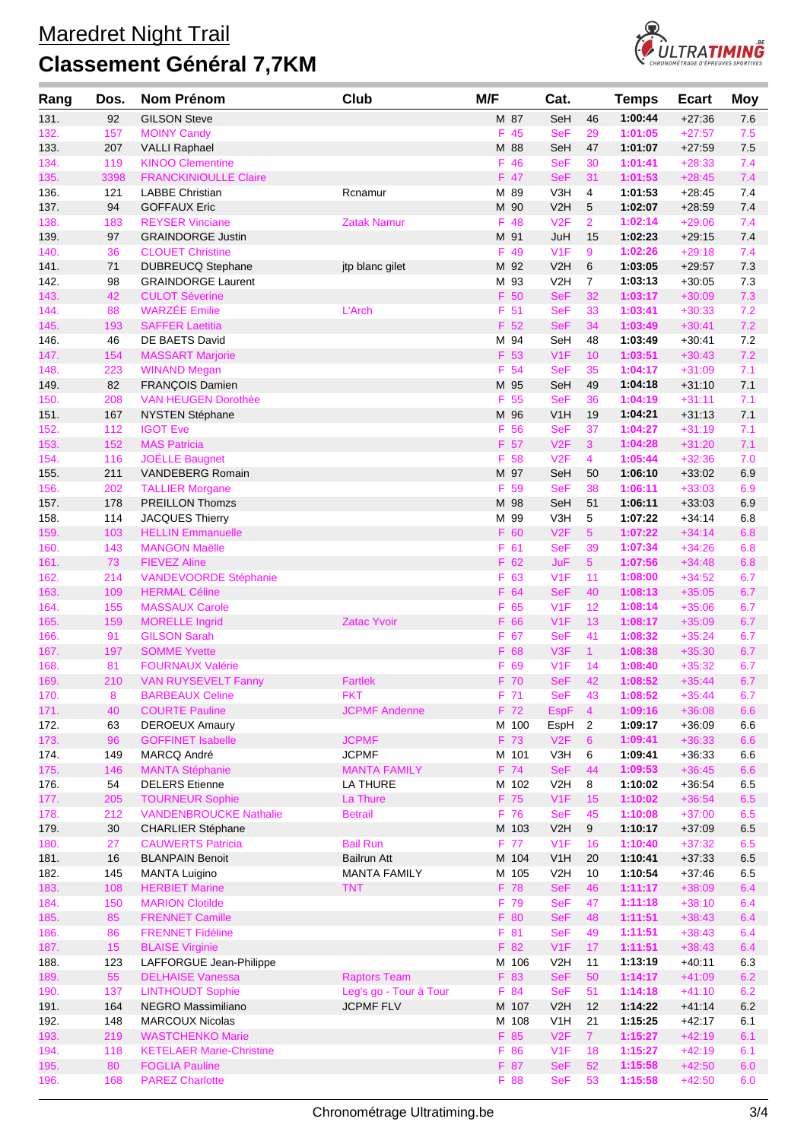

| Rang         | Dos.       | Nom Prénom                                        | Club                            | M/F           | Cat.                           |                     | <b>Temps</b>       | <b>Ecart</b>         | <b>Moy</b> |
|--------------|------------|---------------------------------------------------|---------------------------------|---------------|--------------------------------|---------------------|--------------------|----------------------|------------|
| 131.         | 92         | <b>GILSON Steve</b>                               |                                 | M 87          | SeH                            | 46                  | 1:00:44            | $+27:36$             | 7.6        |
| 132.         | 157        | <b>MOINY Candy</b>                                |                                 | F 45          | <b>SeF</b>                     | 29                  | 1:01:05            | $+27:57$             | 7.5        |
| 133.         | 207        | <b>VALLI Raphael</b>                              |                                 | M 88          | SeH                            | 47                  | 1:01:07            | $+27:59$             | 7.5        |
| 134.         | 119        | <b>KINOO Clementine</b>                           |                                 | F 46          | <b>SeF</b>                     | 30                  | 1:01:41            | $+28:33$             | 7.4        |
| 135.         | 3398       | <b>FRANCKINIOULLE Claire</b>                      |                                 | F 47          | <b>SeF</b>                     | 31                  | 1:01:53            | $+28:45$             | 7.4        |
| 136.         | 121        | <b>LABBE Christian</b>                            | Rcnamur                         | M 89          | V3H                            | 4                   | 1:01:53            | $+28:45$             | 7.4        |
| 137.         | 94<br>183  | <b>GOFFAUX Eric</b><br><b>REYSER Vinciane</b>     | <b>Zatak Namur</b>              | M 90<br>F 48  | V <sub>2</sub> H<br>V2F        | 5<br>$\overline{2}$ | 1:02:07<br>1:02:14 | $+28:59$<br>$+29:06$ | 7.4<br>7.4 |
| 138.<br>139. | 97         | <b>GRAINDORGE Justin</b>                          |                                 | M 91          | JuH                            | 15                  | 1:02:23            | $+29:15$             | 7.4        |
| 140.         | 36         | <b>CLOUET Christine</b>                           |                                 | F 49          | V1F                            | 9                   | 1:02:26            | $+29:18$             | 7.4        |
| 141.         | 71         | <b>DUBREUCQ Stephane</b>                          | jtp blanc gilet                 | M 92          | V <sub>2</sub> H               | 6                   | 1:03:05            | $+29:57$             | 7.3        |
| 142.         | 98         | <b>GRAINDORGE Laurent</b>                         |                                 | M 93          | V <sub>2</sub> H               | $\overline{7}$      | 1:03:13            | $+30:05$             | 7.3        |
| 143.         | 42         | <b>CULOT Séverine</b>                             |                                 | F 50          | <b>SeF</b>                     | 32                  | 1:03:17            | $+30:09$             | 7.3        |
| 144.         | 88         | <b>WARZÉE Emilie</b>                              | L'Arch                          | F 51          | <b>SeF</b>                     | 33                  | 1:03:41            | $+30:33$             | 7.2        |
| 145.         | 193        | <b>SAFFER Laetitia</b>                            |                                 | F 52          | <b>SeF</b>                     | 34                  | 1:03:49            | $+30:41$             | 7.2        |
| 146.         | 46         | DE BAETS David                                    |                                 | M 94          | SeH                            | 48                  | 1:03:49            | $+30.41$             | 7.2        |
| 147.         | 154        | <b>MASSART Marjorie</b>                           |                                 | F 53          | V1F                            | 10                  | 1:03:51            | $+30:43$             | 7.2        |
| 148.         | 223        | <b>WINAND Megan</b>                               |                                 | F 54          | <b>SeF</b>                     | 35                  | 1:04:17            | $+31:09$             | 7.1        |
| 149.         | 82         | FRANÇOIS Damien                                   |                                 | M 95          | SeH                            | 49                  | 1:04:18            | $+31:10$             | 7.1        |
| 150.<br>151. | 208<br>167 | <b>VAN HEUGEN Dorothée</b><br>NYSTEN Stéphane     |                                 | F 55<br>M 96  | <b>SeF</b><br>V1H              | 36<br>19            | 1:04:19<br>1:04:21 | $+31:11$<br>$+31:13$ | 7.1<br>7.1 |
| 152.         | 112        | <b>IGOT Eve</b>                                   |                                 | F 56          | <b>SeF</b>                     | 37                  | 1:04:27            | $+31:19$             | 7.1        |
| 153.         | 152        | <b>MAS Patricia</b>                               |                                 | F 57          | V2F                            | 3                   | 1:04:28            | $+31:20$             | 7.1        |
| 154.         | 116        | <b>JOËLLE Baugnet</b>                             |                                 | F 58          | V2F                            | $\overline{4}$      | 1:05:44            | $+32:36$             | 7.0        |
| 155.         | 211        | VANDEBERG Romain                                  |                                 | M 97          | SeH                            | 50                  | 1:06:10            | $+33:02$             | 6.9        |
| 156.         | 202        | <b>TALLIER Morgane</b>                            |                                 | 59<br>F       | <b>SeF</b>                     | 38                  | 1:06:11            | $+33:03$             | 6.9        |
| 157.         | 178        | PREILLON Thomzs                                   |                                 | M 98          | SeH                            | 51                  | 1:06:11            | $+33:03$             | 6.9        |
| 158.         | 114        | <b>JACQUES Thierry</b>                            |                                 | M 99          | V3H                            | 5                   | 1:07:22            | $+34:14$             | 6.8        |
| 159.         | 103        | <b>HELLIN Emmanuelle</b>                          |                                 | F 60          | V2F                            | 5 <sup>5</sup>      | 1:07:22            | $+34:14$             | 6.8        |
| 160.         | 143        | <b>MANGON Maëlle</b>                              |                                 | F 61          | <b>SeF</b>                     | 39                  | 1:07:34            | $+34:26$             | 6.8        |
| 161.         | 73         | <b>FIEVEZ Aline</b>                               |                                 | F 62          | JuF                            | 5 <sup>5</sup>      | 1:07:56            | $+34:48$             | 6.8        |
| 162.         | 214        | <b>VANDEVOORDE Stéphanie</b>                      |                                 | F 63          | V1F                            | 11                  | 1:08:00            | $+34:52$             | 6.7        |
| 163.<br>164. | 109<br>155 | <b>HERMAL Céline</b><br><b>MASSAUX Carole</b>     |                                 | F 64<br>F 65  | <b>SeF</b><br>V <sub>1</sub> F | 40<br>12            | 1:08:13<br>1:08:14 | $+35:05$<br>$+35:06$ | 6.7<br>6.7 |
| 165.         | 159        | <b>MORELLE Ingrid</b>                             | <b>Zatac Yvoir</b>              | F 66          | V1F                            | 13                  | 1:08:17            | $+35:09$             | 6.7        |
| 166.         | 91         | <b>GILSON Sarah</b>                               |                                 | F 67          | <b>SeF</b>                     | 41                  | 1:08:32            | $+35:24$             | 6.7        |
| 167.         | 197        | <b>SOMME Yvette</b>                               |                                 | F 68          | V3F                            | 1 <sup>1</sup>      | 1:08:38            | $+35:30$             | 6.7        |
| 168.         | 81         | <b>FOURNAUX Valérie</b>                           |                                 | F 69          | V1F                            | 14                  | 1:08:40            | $+35:32$             | 6.7        |
| 169.         | 210        | <b>VAN RUYSEVELT Fanny</b>                        | <b>Fartlek</b>                  | F 70          | <b>SeF</b>                     | 42                  | 1:08:52            | $+35:44$             | 6.7        |
| 170.         | 8          | <b>BARBEAUX Celine</b>                            | <b>FKT</b>                      | F 71          | <b>SeF</b>                     | 43                  | 1:08:52            | $+35:44$             | 6.7        |
| 171.         | 40         | <b>COURTE Pauline</b>                             | <b>JCPMF Andenne</b>            | F 72          | <b>EspF</b>                    | $\overline{4}$      | 1:09:16            | $+36:08$             | 6.6        |
| 172.         | 63         | <b>DEROEUX Amaury</b>                             |                                 | M 100         | EspH                           | $\overline{c}$      | 1:09:17            | $+36:09$             | 6.6        |
| 173.         | 96         | <b>GOFFINET Isabelle</b>                          | <b>JCPMF</b>                    | F 73          | V2F                            | $6\phantom{1}$      | 1:09:41            | $+36:33$             | 6.6        |
| 174.         | 149        | MARCQ André                                       | <b>JCPMF</b>                    | M 101         | V3H                            | 6                   | 1:09:41            | $+36:33$             | 6.6        |
| 175.<br>176. | 146<br>54  | <b>MANTA Stéphanie</b><br><b>DELERS</b> Etienne   | <b>MANTA FAMILY</b><br>LA THURE | F 74<br>M 102 | <b>SeF</b><br>V <sub>2</sub> H | 44<br>8             | 1:09:53<br>1:10:02 | $+36:45$<br>$+36:54$ | 6.6<br>6.5 |
| 177.         | 205        | <b>TOURNEUR Sophie</b>                            | La Thure                        | F 75          | V1F                            | 15                  | 1:10:02            | $+36:54$             | 6.5        |
| 178.         | 212        | <b>VANDENBROUCKE Nathalie</b>                     | <b>Betrail</b>                  | F 76          | <b>SeF</b>                     | 45                  | 1:10:08            | $+37:00$             | 6.5        |
| 179.         | $30\,$     | <b>CHARLIER Stéphane</b>                          |                                 | M 103         | V <sub>2</sub> H               | 9                   | 1:10:17            | $+37:09$             | 6.5        |
| 180.         | 27         | <b>CAUWERTS Patricia</b>                          | <b>Bail Run</b>                 | F 77          | V1F                            | 16                  | 1:10:40            | $+37:32$             | 6.5        |
| 181.         | 16         | <b>BLANPAIN Benoit</b>                            | Bailrun Att                     | M 104         | V <sub>1</sub> H               | 20                  | 1:10:41            | $+37:33$             | 6.5        |
| 182.         | 145        | <b>MANTA Luigino</b>                              | <b>MANTA FAMILY</b>             | M 105         | V <sub>2</sub> H               | 10                  | 1:10:54            | $+37:46$             | 6.5        |
| 183.         | 108        | <b>HERBIET Marine</b>                             | <b>TNT</b>                      | F 78          | <b>SeF</b>                     | 46                  | 1:11:17            | $+38:09$             | 6.4        |
| 184.         | 150        | <b>MARION Clotilde</b>                            |                                 | F 79          | <b>SeF</b>                     | 47                  | 1:11:18            | $+38:10$             | 6.4        |
| 185.         | 85         | <b>FRENNET Camille</b>                            |                                 | F 80          | <b>SeF</b>                     | 48                  | 1:11:51            | $+38:43$             | 6.4        |
| 186.         | 86         | <b>FRENNET Fidéline</b>                           |                                 | F 81          | <b>SeF</b>                     | 49                  | 1:11:51            | $+38:43$             | 6.4        |
| 187.         | 15<br>123  | <b>BLAISE Virginie</b><br>LAFFORGUE Jean-Philippe |                                 | F 82<br>M 106 | V1F<br>V <sub>2</sub> H        | 17<br>11            | 1:11:51<br>1:13:19 | $+38:43$<br>$+40.11$ | 6.4        |
| 188.<br>189. | 55         | <b>DELHAISE Vanessa</b>                           | <b>Raptors Team</b>             | F 83          | <b>SeF</b>                     | 50                  | 1:14:17            | $+41:09$             | 6.3<br>6.2 |
| 190.         | 137        | <b>LINTHOUDT Sophie</b>                           | Leg's go - Tour à Tour          | F 84          | <b>SeF</b>                     | 51                  | 1:14:18            | $+41:10$             | 6.2        |
| 191.         | 164        | NEGRO Massimiliano                                | <b>JCPMF FLV</b>                | M 107         | V2H                            | 12                  | 1:14:22            | $+41:14$             | $6.2\,$    |
| 192.         | 148        | <b>MARCOUX Nicolas</b>                            |                                 | M 108         | V <sub>1</sub> H               | 21                  | 1:15:25            | $+42:17$             | 6.1        |
| 193.         | 219        | <b>WASTCHENKO Marie</b>                           |                                 | F 85          | V2F                            | 7 <sup>1</sup>      | 1:15:27            | $+42:19$             | 6.1        |
| 194.         | 118        | <b>KETELAER Marie-Christine</b>                   |                                 | F 86          | V1F                            | 18                  | 1:15:27            | $+42:19$             | 6.1        |
| 195.         | 80         | <b>FOGLIA Pauline</b>                             |                                 | F 87          | <b>SeF</b>                     | 52                  | 1:15:58            | $+42:50$             | 6.0        |
| 196.         | 168        | <b>PAREZ Charlotte</b>                            |                                 | F 88          | <b>SeF</b>                     | 53                  | 1:15:58            | $+42:50$             | 6.0        |